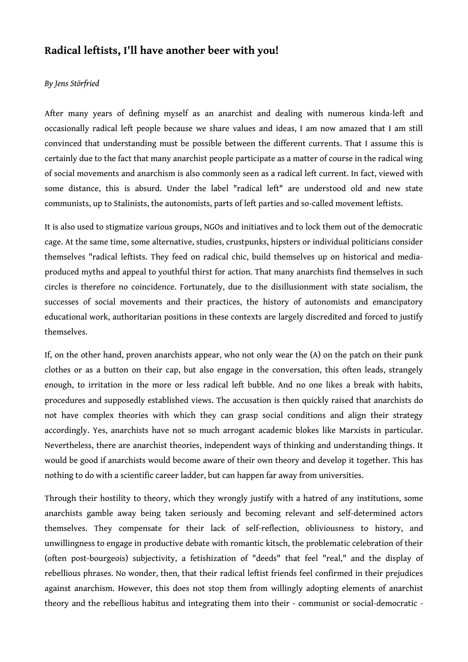## **Radical leftists, I'll have another beer with you!**

## *By Jens Störfried*

After many years of defining myself as an anarchist and dealing with numerous kinda-left and occasionally radical left people because we share values and ideas, I am now amazed that I am still convinced that understanding must be possible between the different currents. That I assume this is certainly due to the fact that many anarchist people participate as a matter of course in the radical wing of social movements and anarchism is also commonly seen as a radical left current. In fact, viewed with some distance, this is absurd. Under the label "radical left" are understood old and new state communists, up to Stalinists, the autonomists, parts of left parties and so-called movement leftists.

It is also used to stigmatize various groups, NGOs and initiatives and to lock them out of the democratic cage. At the same time, some alternative, studies, crustpunks, hipsters or individual politicians consider themselves "radical leftists. They feed on radical chic, build themselves up on historical and mediaproduced myths and appeal to youthful thirst for action. That many anarchists find themselves in such circles is therefore no coincidence. Fortunately, due to the disillusionment with state socialism, the successes of social movements and their practices, the history of autonomists and emancipatory educational work, authoritarian positions in these contexts are largely discredited and forced to justify themselves.

If, on the other hand, proven anarchists appear, who not only wear the (A) on the patch on their punk clothes or as a button on their cap, but also engage in the conversation, this often leads, strangely enough, to irritation in the more or less radical left bubble. And no one likes a break with habits, procedures and supposedly established views. The accusation is then quickly raised that anarchists do not have complex theories with which they can grasp social conditions and align their strategy accordingly. Yes, anarchists have not so much arrogant academic blokes like Marxists in particular. Nevertheless, there are anarchist theories, independent ways of thinking and understanding things. It would be good if anarchists would become aware of their own theory and develop it together. This has nothing to do with a scientific career ladder, but can happen far away from universities.

Through their hostility to theory, which they wrongly justify with a hatred of any institutions, some anarchists gamble away being taken seriously and becoming relevant and self-determined actors themselves. They compensate for their lack of self-reflection, obliviousness to history, and unwillingness to engage in productive debate with romantic kitsch, the problematic celebration of their (often post-bourgeois) subjectivity, a fetishization of "deeds" that feel "real," and the display of rebellious phrases. No wonder, then, that their radical leftist friends feel confirmed in their prejudices against anarchism. However, this does not stop them from willingly adopting elements of anarchist theory and the rebellious habitus and integrating them into their - communist or social-democratic -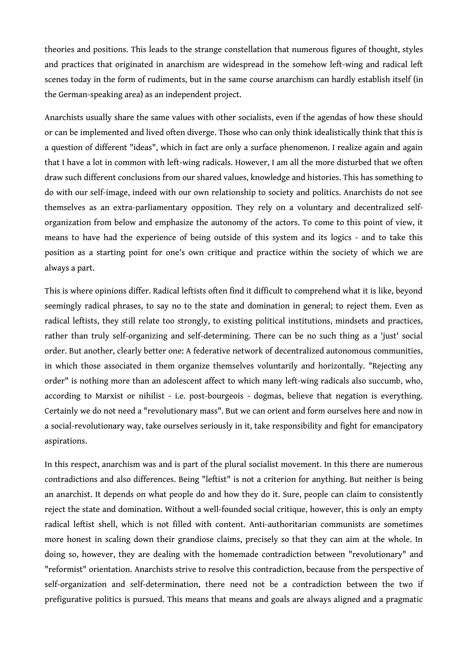theories and positions. This leads to the strange constellation that numerous figures of thought, styles and practices that originated in anarchism are widespread in the somehow left-wing and radical left scenes today in the form of rudiments, but in the same course anarchism can hardly establish itself (in the German-speaking area) as an independent project.

Anarchists usually share the same values with other socialists, even if the agendas of how these should or can be implemented and lived often diverge. Those who can only think idealistically think that this is a question of different "ideas", which in fact are only a surface phenomenon. I realize again and again that I have a lot in common with left-wing radicals. However, I am all the more disturbed that we often draw such different conclusions from our shared values, knowledge and histories. This has something to do with our self-image, indeed with our own relationship to society and politics. Anarchists do not see themselves as an extra-parliamentary opposition. They rely on a voluntary and decentralized selforganization from below and emphasize the autonomy of the actors. To come to this point of view, it means to have had the experience of being outside of this system and its logics - and to take this position as a starting point for one's own critique and practice within the society of which we are always a part.

This is where opinions differ. Radical leftists often find it difficult to comprehend what it is like, beyond seemingly radical phrases, to say no to the state and domination in general; to reject them. Even as radical leftists, they still relate too strongly, to existing political institutions, mindsets and practices, rather than truly self-organizing and self-determining. There can be no such thing as a 'just' social order. But another, clearly better one: A federative network of decentralized autonomous communities, in which those associated in them organize themselves voluntarily and horizontally. "Rejecting any order" is nothing more than an adolescent affect to which many left-wing radicals also succumb, who, according to Marxist or nihilist - i.e. post-bourgeois - dogmas, believe that negation is everything. Certainly we do not need a "revolutionary mass". But we can orient and form ourselves here and now in a social-revolutionary way, take ourselves seriously in it, take responsibility and fight for emancipatory aspirations.

In this respect, anarchism was and is part of the plural socialist movement. In this there are numerous contradictions and also differences. Being "leftist" is not a criterion for anything. But neither is being an anarchist. It depends on what people do and how they do it. Sure, people can claim to consistently reject the state and domination. Without a well-founded social critique, however, this is only an empty radical leftist shell, which is not filled with content. Anti-authoritarian communists are sometimes more honest in scaling down their grandiose claims, precisely so that they can aim at the whole. In doing so, however, they are dealing with the homemade contradiction between "revolutionary" and "reformist" orientation. Anarchists strive to resolve this contradiction, because from the perspective of self-organization and self-determination, there need not be a contradiction between the two if prefigurative politics is pursued. This means that means and goals are always aligned and a pragmatic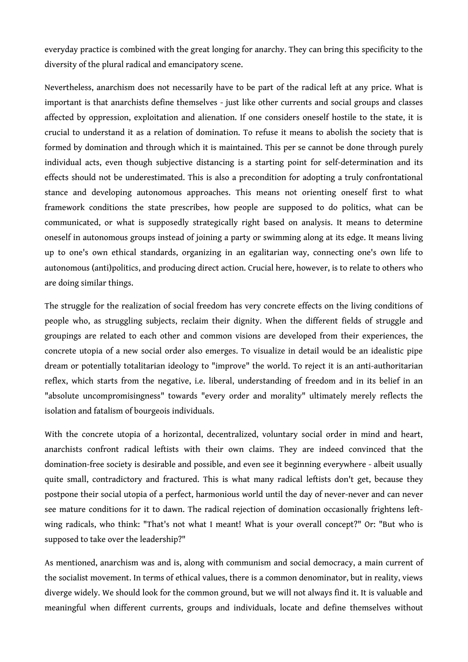everyday practice is combined with the great longing for anarchy. They can bring this specificity to the diversity of the plural radical and emancipatory scene.

Nevertheless, anarchism does not necessarily have to be part of the radical left at any price. What is important is that anarchists define themselves - just like other currents and social groups and classes affected by oppression, exploitation and alienation. If one considers oneself hostile to the state, it is crucial to understand it as a relation of domination. To refuse it means to abolish the society that is formed by domination and through which it is maintained. This per se cannot be done through purely individual acts, even though subjective distancing is a starting point for self-determination and its effects should not be underestimated. This is also a precondition for adopting a truly confrontational stance and developing autonomous approaches. This means not orienting oneself first to what framework conditions the state prescribes, how people are supposed to do politics, what can be communicated, or what is supposedly strategically right based on analysis. It means to determine oneself in autonomous groups instead of joining a party or swimming along at its edge. It means living up to one's own ethical standards, organizing in an egalitarian way, connecting one's own life to autonomous (anti)politics, and producing direct action. Crucial here, however, is to relate to others who are doing similar things.

The struggle for the realization of social freedom has very concrete effects on the living conditions of people who, as struggling subjects, reclaim their dignity. When the different fields of struggle and groupings are related to each other and common visions are developed from their experiences, the concrete utopia of a new social order also emerges. To visualize in detail would be an idealistic pipe dream or potentially totalitarian ideology to "improve" the world. To reject it is an anti-authoritarian reflex, which starts from the negative, i.e. liberal, understanding of freedom and in its belief in an "absolute uncompromisingness" towards "every order and morality" ultimately merely reflects the isolation and fatalism of bourgeois individuals.

With the concrete utopia of a horizontal, decentralized, voluntary social order in mind and heart, anarchists confront radical leftists with their own claims. They are indeed convinced that the domination-free society is desirable and possible, and even see it beginning everywhere - albeit usually quite small, contradictory and fractured. This is what many radical leftists don't get, because they postpone their social utopia of a perfect, harmonious world until the day of never-never and can never see mature conditions for it to dawn. The radical rejection of domination occasionally frightens leftwing radicals, who think: "That's not what I meant! What is your overall concept?" Or: "But who is supposed to take over the leadership?"

As mentioned, anarchism was and is, along with communism and social democracy, a main current of the socialist movement. In terms of ethical values, there is a common denominator, but in reality, views diverge widely. We should look for the common ground, but we will not always find it. It is valuable and meaningful when different currents, groups and individuals, locate and define themselves without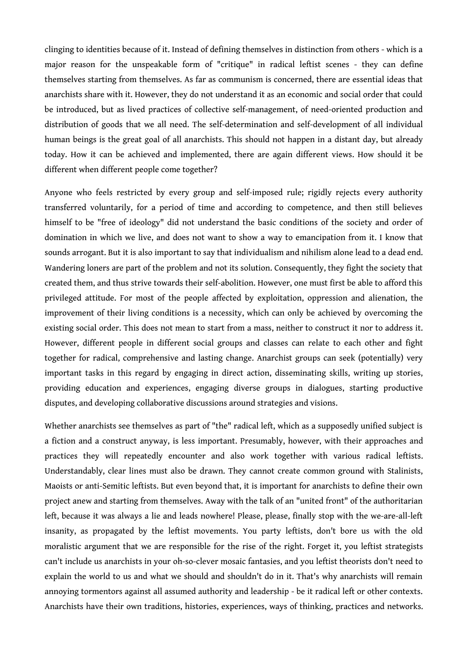clinging to identities because of it. Instead of defining themselves in distinction from others - which is a major reason for the unspeakable form of "critique" in radical leftist scenes - they can define themselves starting from themselves. As far as communism is concerned, there are essential ideas that anarchists share with it. However, they do not understand it as an economic and social order that could be introduced, but as lived practices of collective self-management, of need-oriented production and distribution of goods that we all need. The self-determination and self-development of all individual human beings is the great goal of all anarchists. This should not happen in a distant day, but already today. How it can be achieved and implemented, there are again different views. How should it be different when different people come together?

Anyone who feels restricted by every group and self-imposed rule; rigidly rejects every authority transferred voluntarily, for a period of time and according to competence, and then still believes himself to be "free of ideology" did not understand the basic conditions of the society and order of domination in which we live, and does not want to show a way to emancipation from it. I know that sounds arrogant. But it is also important to say that individualism and nihilism alone lead to a dead end. Wandering loners are part of the problem and not its solution. Consequently, they fight the society that created them, and thus strive towards their self-abolition. However, one must first be able to afford this privileged attitude. For most of the people affected by exploitation, oppression and alienation, the improvement of their living conditions is a necessity, which can only be achieved by overcoming the existing social order. This does not mean to start from a mass, neither to construct it nor to address it. However, different people in different social groups and classes can relate to each other and fight together for radical, comprehensive and lasting change. Anarchist groups can seek (potentially) very important tasks in this regard by engaging in direct action, disseminating skills, writing up stories, providing education and experiences, engaging diverse groups in dialogues, starting productive disputes, and developing collaborative discussions around strategies and visions.

Whether anarchists see themselves as part of "the" radical left, which as a supposedly unified subject is a fiction and a construct anyway, is less important. Presumably, however, with their approaches and practices they will repeatedly encounter and also work together with various radical leftists. Understandably, clear lines must also be drawn. They cannot create common ground with Stalinists, Maoists or anti-Semitic leftists. But even beyond that, it is important for anarchists to define their own project anew and starting from themselves. Away with the talk of an "united front" of the authoritarian left, because it was always a lie and leads nowhere! Please, please, finally stop with the we-are-all-left insanity, as propagated by the leftist movements. You party leftists, don't bore us with the old moralistic argument that we are responsible for the rise of the right. Forget it, you leftist strategists can't include us anarchists in your oh-so-clever mosaic fantasies, and you leftist theorists don't need to explain the world to us and what we should and shouldn't do in it. That's why anarchists will remain annoying tormentors against all assumed authority and leadership - be it radical left or other contexts. Anarchists have their own traditions, histories, experiences, ways of thinking, practices and networks.